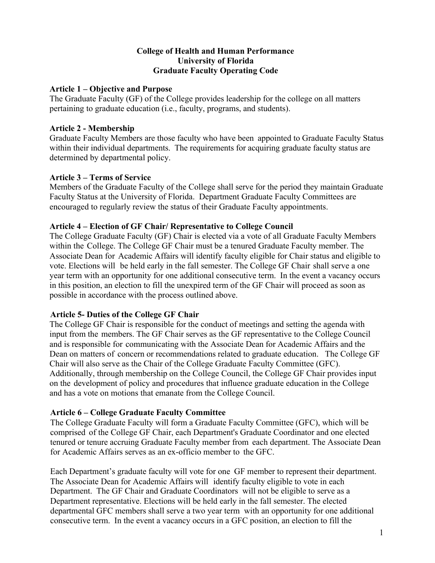#### **College of Health and Human Performance University of Florida Graduate Faculty Operating Code**

#### **Article 1 – Objective and Purpose**

The Graduate Faculty (GF) of the College provides leadership for the college on all matters pertaining to graduate education (i.e., faculty, programs, and students).

### **Article 2 - Membership**

Graduate Faculty Members are those faculty who have been appointed to Graduate Faculty Status within their individual departments. The requirements for acquiring graduate faculty status are determined by departmental policy.

## **Article 3 – Terms of Service**

Members of the Graduate Faculty of the College shall serve for the period they maintain Graduate Faculty Status at the University of Florida. Department Graduate Faculty Committees are encouraged to regularly review the status of their Graduate Faculty appointments.

### **Article 4 – Election of GF Chair/ Representative to College Council**

The College Graduate Faculty (GF) Chair is elected via a vote of all Graduate Faculty Members within the College. The College GF Chair must be a tenured Graduate Faculty member. The Associate Dean for Academic Affairs will identify faculty eligible for Chair status and eligible to vote. Elections will be held early in the fall semester. The College GF Chair shall serve a one year term with an opportunity for one additional consecutive term. In the event a vacancy occurs in this position, an election to fill the unexpired term of the GF Chair will proceed as soon as possible in accordance with the process outlined above.

# **Article 5- Duties of the College GF Chair**

The College GF Chair is responsible for the conduct of meetings and setting the agenda with input from the members. The GF Chair serves as the GF representative to the College Council and is responsible for communicating with the Associate Dean for Academic Affairs and the Dean on matters of concern or recommendations related to graduate education. The College GF Chair will also serve as the Chair of the College Graduate Faculty Committee (GFC). Additionally, through membership on the College Council, the College GF Chair provides input on the development of policy and procedures that influence graduate education in the College and has a vote on motions that emanate from the College Council.

# **Article 6 – College Graduate Faculty Committee**

The College Graduate Faculty will form a Graduate Faculty Committee (GFC), which will be comprised of the College GF Chair, each Department's Graduate Coordinator and one elected tenured or tenure accruing Graduate Faculty member from each department. The Associate Dean for Academic Affairs serves as an ex-officio member to the GFC.

Each Department's graduate faculty will vote for one GF member to represent their department. The Associate Dean for Academic Affairs will identify faculty eligible to vote in each Department. The GF Chair and Graduate Coordinators will not be eligible to serve as a Department representative. Elections will be held early in the fall semester. The elected departmental GFC members shall serve a two year term with an opportunity for one additional consecutive term. In the event a vacancy occurs in a GFC position, an election to fill the